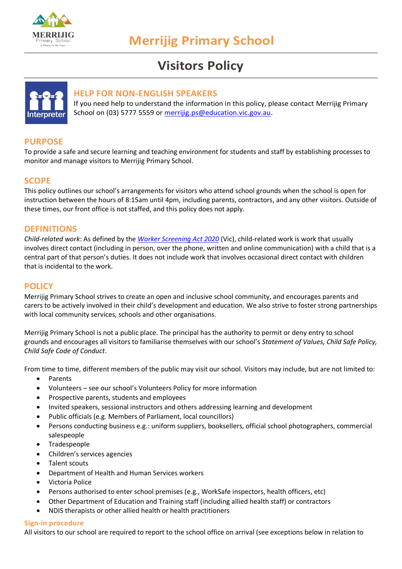

# **Visitors Policy**



## **HELP FOR NON-ENGLISH SPEAKERS**

If you need help to understand the information in this policy, please contact Merrijig Primary School on (03) 5777 5559 or [merrijig.ps@education.vic.gov.au.](mailto:merrijig.ps@education.vic.gov.au)

# **PURPOSE**

To provide a safe and secure learning and teaching environment for students and staff by establishing processes to monitor and manage visitors to Merrijig Primary School.

# **SCOPE**

This policy outlines our school's arrangements for visitors who attend school grounds when the school is open for instruction between the hours of 8:15am until 4pm, including parents, contractors, and any other visitors. Outside of these times, our front office is not staffed, and this policy does not apply.

## **DEFINITIONS**

*Child-related work*: As defined by the *[Worker Screening Act 2020](https://www.legislation.vic.gov.au/as-made/acts/worker-screening-act-2020)* (Vic), child-related work is work that usually involves direct contact (including in person, over the phone, written and online communication) with a child that is a central part of that person's duties. It does not include work that involves occasional direct contact with children that is incidental to the work.

## **POLICY**

Merrijig Primary School strives to create an open and inclusive school community, and encourages parents and carers to be actively involved in their child's development and education. We also strive to foster strong partnerships with local community services, schools and other organisations.

Merrijig Primary School is not a public place. The principal has the authority to permit or deny entry to school grounds and encourages all visitors to familiarise themselves with our school's *Statement of Values, Child Safe Policy, Child Safe Code of Conduct*.

From time to time, different members of the public may visit our school. Visitors may include, but are not limited to:

- Parents
- Volunteers see our school's Volunteers Policy for more information
- Prospective parents, students and employees
- Invited speakers, sessional instructors and others addressing learning and development
- Public officials (e.g. Members of Parliament, local councillors)
- Persons conducting business e.g.: uniform suppliers, booksellers, official school photographers, commercial salespeople
- Tradespeople
- Children's services agencies
- Talent scouts
- Department of Health and Human Services workers
- Victoria Police
- Persons authorised to enter school premises (e.g., WorkSafe inspectors, health officers, etc)
- Other Department of Education and Training staff (including allied health staff) or contractors
- NDIS therapists or other allied health or health practitioners

#### **Sign-in procedure**

All visitors to our school are required to report to the school office on arrival (see exceptions below in relation to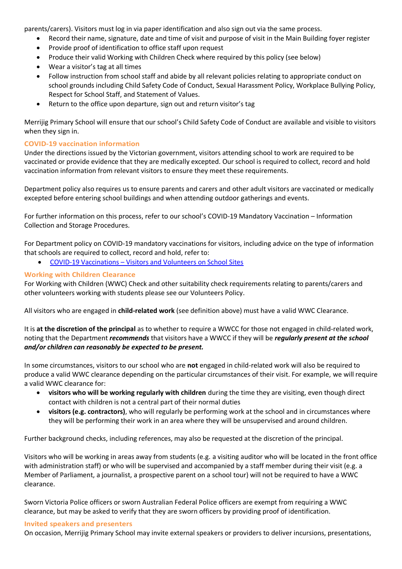parents/carers). Visitors must log in via paper identification and also sign out via the same process.

- Record their name, signature, date and time of visit and purpose of visit in the Main Building foyer register
- Provide proof of identification to office staff upon request
- Produce their valid Working with Children Check where required by this policy (see below)
- Wear a visitor's tag at all times
- Follow instruction from school staff and abide by all relevant policies relating to appropriate conduct on school grounds including Child Safety Code of Conduct, Sexual Harassment Policy, Workplace Bullying Policy, Respect for School Staff, and Statement of Values.
- Return to the office upon departure, sign out and return visitor's tag

Merrijig Primary School will ensure that our school's Child Safety Code of Conduct are available and visible to visitors when they sign in.

## **COVID-19 vaccination information**

Under the directions issued by the Victorian government, visitors attending school to work are required to be vaccinated or provide evidence that they are medically excepted. Our school is required to collect, record and hold vaccination information from relevant visitors to ensure they meet these requirements.

Department policy also requires us to ensure parents and carers and other adult visitors are vaccinated or medically excepted before entering school buildings and when attending outdoor gatherings and events.

For further information on this process, refer to our school's COVID-19 Mandatory Vaccination – Information Collection and Storage Procedures.

For Department policy on COVID-19 mandatory vaccinations for visitors, including advice on the type of information that schools are required to collect, record and hold, refer to:

• COVID-19 Vaccinations – [Visitors and Volunteers on School Sites](https://www2.education.vic.gov.au/pal/covid-19-vaccinations-visitors-volunteers/policy)

## **Working with Children Clearance**

For Working with Children (WWC) Check and other suitability check requirements relating to parents/carers and other volunteers working with students please see our Volunteers Policy.

All visitors who are engaged in **child-related work** (see definition above) must have a valid WWC Clearance.

It is **at the discretion of the principal** as to whether to require a WWCC for those not engaged in child-related work, noting that the Department *recommends* that visitors have a WWCC if they will be *regularly present at the school and/or children can reasonably be expected to be present.*

In some circumstances, visitors to our school who are **not** engaged in child-related work will also be required to produce a valid WWC clearance depending on the particular circumstances of their visit. For example, we will require a valid WWC clearance for:

- **visitors who will be working regularly with children** during the time they are visiting, even though direct contact with children is not a central part of their normal duties
- **visitors (e.g. contractors)**, who will regularly be performing work at the school and in circumstances where they will be performing their work in an area where they will be unsupervised and around children.

Further background checks, including references, may also be requested at the discretion of the principal.

Visitors who will be working in areas away from students (e.g. a visiting auditor who will be located in the front office with administration staff) or who will be supervised and accompanied by a staff member during their visit (e.g. a Member of Parliament, a journalist, a prospective parent on a school tour) will not be required to have a WWC clearance.

Sworn Victoria Police officers or sworn Australian Federal Police officers are exempt from requiring a WWC clearance, but may be asked to verify that they are sworn officers by providing proof of identification.

#### **Invited speakers and presenters**

On occasion, Merrijig Primary School may invite external speakers or providers to deliver incursions, presentations,